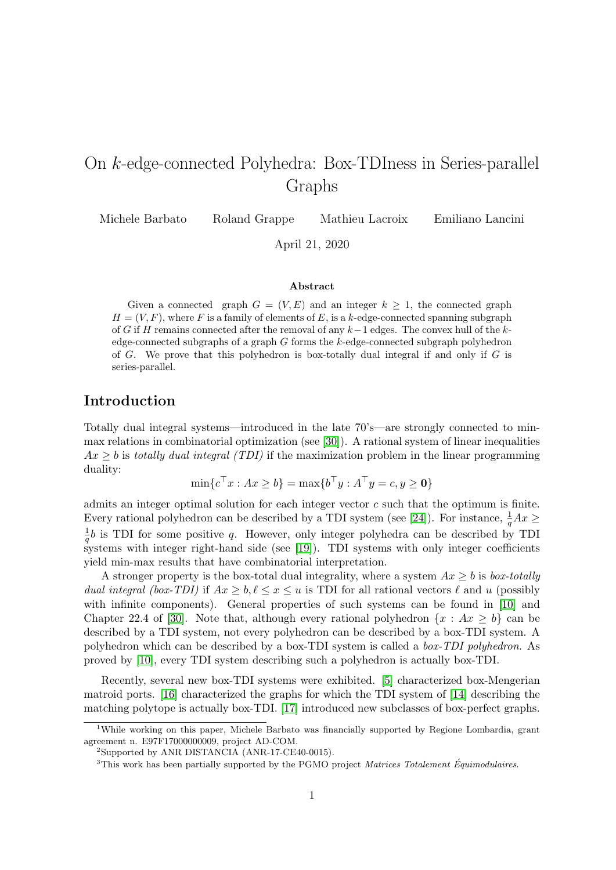# On k-edge-connected Polyhedra: Box-TDIness in Series-parallel Graphs

Michele Barbato Roland Grappe Mathieu Lacroix Emiliano Lancini

April 21, 2020

#### Abstract

Given a connected graph  $G = (V, E)$  and an integer  $k \geq 1$ , the connected graph  $H = (V, F)$ , where F is a family of elements of E, is a k-edge-connected spanning subgraph of G if H remains connected after the removal of any  $k-1$  edges. The convex hull of the kedge-connected subgraphs of a graph  $G$  forms the  $k$ -edge-connected subgraph polyhedron of G. We prove that this polyhedron is box-totally dual integral if and only if  $G$  is series-parallel.

# Introduction

Totally dual integral systems—introduced in the late 70's—are strongly connected to minmax relations in combinatorial optimization (see [\[30\]](#page-11-0)). A rational system of linear inequalities  $Ax \geq b$  is totally dual integral (TDI) if the maximization problem in the linear programming duality:

$$
\min\{c^\top x : Ax \ge b\} = \max\{b^\top y : A^\top y = c, y \ge \mathbf{0}\}\
$$

admits an integer optimal solution for each integer vector  $c$  such that the optimum is finite. Every rational polyhedron can be described by a TDI system (see [\[24\]](#page-10-0)). For instance,  $\frac{1}{q}Ax \geq$ 1  $\frac{1}{q}b$  is TDI for some positive q. However, only integer polyhedra can be described by TDI systems with integer right-hand side (see [\[19\]](#page-10-1)). TDI systems with only integer coefficients yield min-max results that have combinatorial interpretation.

A stronger property is the box-total dual integrality, where a system  $Ax \geq b$  is box-totally dual integral (box-TDI) if  $Ax \geq b, \ell \leq x \leq u$  is TDI for all rational vectors  $\ell$  and u (possibly with infinite components). General properties of such systems can be found in [\[10\]](#page-10-2) and Chapter 22.4 of [\[30\]](#page-11-0). Note that, although every rational polyhedron  $\{x : Ax \geq b\}$  can be described by a TDI system, not every polyhedron can be described by a box-TDI system. A polyhedron which can be described by a box-TDI system is called a box-TDI polyhedron. As proved by [\[10\]](#page-10-2), every TDI system describing such a polyhedron is actually box-TDI.

Recently, several new box-TDI systems were exhibited. [\[5\]](#page-9-0) characterized box-Mengerian matroid ports. [\[16\]](#page-10-3) characterized the graphs for which the TDI system of [\[14\]](#page-10-4) describing the matching polytope is actually box-TDI. [\[17\]](#page-10-5) introduced new subclasses of box-perfect graphs.

<sup>&</sup>lt;sup>1</sup>While working on this paper, Michele Barbato was financially supported by Regione Lombardia, grant agreement n. E97F17000000009, project AD-COM.

<sup>2</sup>Supported by ANR DISTANCIA (ANR-17-CE40-0015).

 $3$ This work has been partially supported by the PGMO project *Matrices Totalement Équimodulaires*.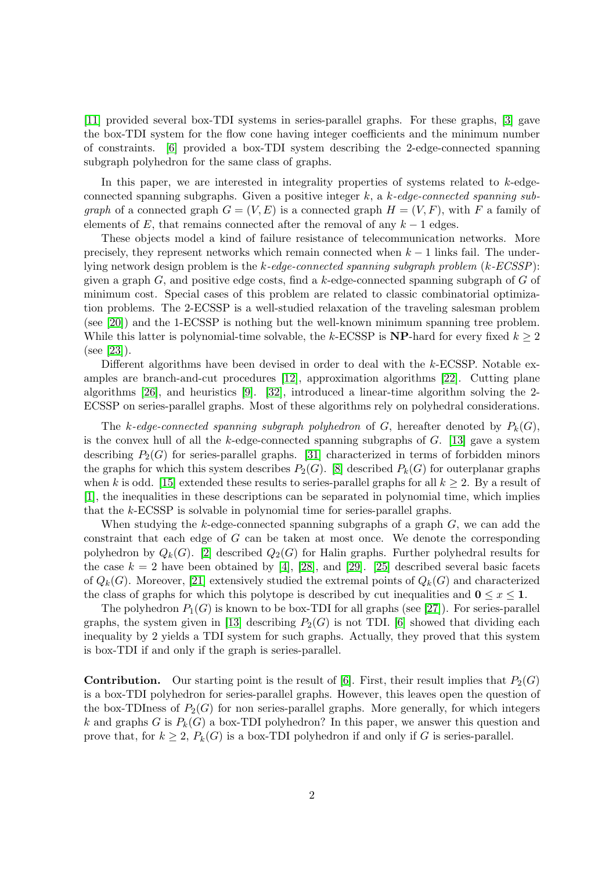[\[11\]](#page-10-6) provided several box-TDI systems in series-parallel graphs. For these graphs, [\[3\]](#page-9-1) gave the box-TDI system for the flow cone having integer coefficients and the minimum number of constraints. [\[6\]](#page-9-2) provided a box-TDI system describing the 2-edge-connected spanning subgraph polyhedron for the same class of graphs.

In this paper, we are interested in integrality properties of systems related to k-edgeconnected spanning subgraphs. Given a positive integer  $k$ , a  $k$ -edge-connected spanning sub*graph* of a connected graph  $G = (V, E)$  is a connected graph  $H = (V, F)$ , with F a family of elements of E, that remains connected after the removal of any  $k-1$  edges.

These objects model a kind of failure resistance of telecommunication networks. More precisely, they represent networks which remain connected when  $k-1$  links fail. The underlying network design problem is the k-edge-connected spanning subgraph problem (k-ECSSP): given a graph  $G$ , and positive edge costs, find a k-edge-connected spanning subgraph of  $G$  of minimum cost. Special cases of this problem are related to classic combinatorial optimization problems. The 2-ECSSP is a well-studied relaxation of the traveling salesman problem (see [\[20\]](#page-10-7)) and the 1-ECSSP is nothing but the well-known minimum spanning tree problem. While this latter is polynomial-time solvable, the k-ECSSP is  $NP$ -hard for every fixed  $k \geq 2$ (see [\[23\]](#page-10-8)).

Different algorithms have been devised in order to deal with the k-ECSSP. Notable examples are branch-and-cut procedures [\[12\]](#page-10-9), approximation algorithms [\[22\]](#page-10-10). Cutting plane algorithms [\[26\]](#page-11-1), and heuristics [\[9\]](#page-9-3). [\[32\]](#page-11-2), introduced a linear-time algorithm solving the 2- ECSSP on series-parallel graphs. Most of these algorithms rely on polyhedral considerations.

The k-edge-connected spanning subgraph polyhedron of G, hereafter denoted by  $P_k(G)$ , is the convex hull of all the  $k$ -edge-connected spanning subgraphs of  $G$ . [\[13\]](#page-10-11) gave a system describing  $P_2(G)$  for series-parallel graphs. [\[31\]](#page-11-3) characterized in terms of forbidden minors the graphs for which this system describes  $P_2(G)$ . [\[8\]](#page-9-4) described  $P_k(G)$  for outerplanar graphs when k is odd. [\[15\]](#page-10-12) extended these results to series-parallel graphs for all  $k \geq 2$ . By a result of [\[1\]](#page-9-5), the inequalities in these descriptions can be separated in polynomial time, which implies that the k-ECSSP is solvable in polynomial time for series-parallel graphs.

When studying the  $k$ -edge-connected spanning subgraphs of a graph  $G$ , we can add the constraint that each edge of G can be taken at most once. We denote the corresponding polyhedron by  $Q_k(G)$ . [\[2\]](#page-9-6) described  $Q_2(G)$  for Halin graphs. Further polyhedral results for the case  $k = 2$  have been obtained by [\[4\]](#page-9-7), [\[28\]](#page-11-4), and [\[29\]](#page-11-5). [\[25\]](#page-10-13) described several basic facets of  $Q_k(G)$ . Moreover, [\[21\]](#page-10-14) extensively studied the extremal points of  $Q_k(G)$  and characterized the class of graphs for which this polytope is described by cut inequalities and  $0 \leq x \leq 1$ .

The polyhedron  $P_1(G)$  is known to be box-TDI for all graphs (see [\[27\]](#page-11-6)). For series-parallel graphs, the system given in [\[13\]](#page-10-11) describing  $P_2(G)$  is not TDI. [\[6\]](#page-9-2) showed that dividing each inequality by 2 yields a TDI system for such graphs. Actually, they proved that this system is box-TDI if and only if the graph is series-parallel.

**Contribution.** Our starting point is the result of [\[6\]](#page-9-2). First, their result implies that  $P_2(G)$ is a box-TDI polyhedron for series-parallel graphs. However, this leaves open the question of the box-TDIness of  $P_2(G)$  for non series-parallel graphs. More generally, for which integers k and graphs G is  $P_k(G)$  a box-TDI polyhedron? In this paper, we answer this question and prove that, for  $k \geq 2$ ,  $P_k(G)$  is a box-TDI polyhedron if and only if G is series-parallel.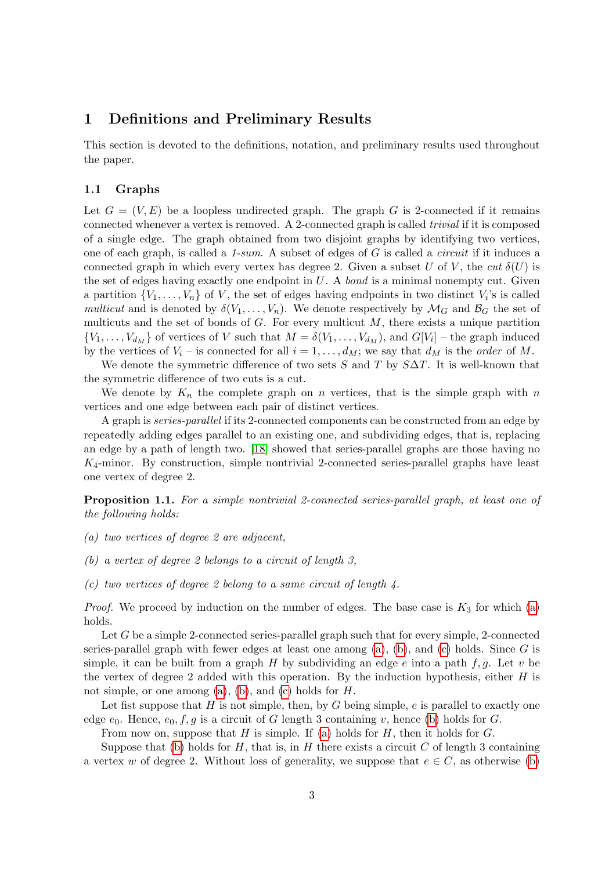## 1 Definitions and Preliminary Results

This section is devoted to the definitions, notation, and preliminary results used throughout the paper.

### 1.1 Graphs

Let  $G = (V, E)$  be a loopless undirected graph. The graph G is 2-connected if it remains connected whenever a vertex is removed. A 2-connected graph is called trivial if it is composed of a single edge. The graph obtained from two disjoint graphs by identifying two vertices, one of each graph, is called a  $1\text{-}sum$ . A subset of edges of G is called a *circuit* if it induces a connected graph in which every vertex has degree 2. Given a subset U of V, the cut  $\delta(U)$  is the set of edges having exactly one endpoint in  $U$ . A bond is a minimal nonempty cut. Given a partition  $\{V_1, \ldots, V_n\}$  of V, the set of edges having endpoints in two distinct  $V_i$ 's is called multicut and is denoted by  $\delta(V_1,\ldots,V_n)$ . We denote respectively by  $\mathcal{M}_G$  and  $\mathcal{B}_G$  the set of multicuts and the set of bonds of  $G$ . For every multicut  $M$ , there exists a unique partition  $\{V_1, \ldots, V_{d_M}\}\$  of vertices of V such that  $M = \delta(V_1, \ldots, V_{d_M})$ , and  $G[V_i]$  – the graph induced by the vertices of  $V_i$  – is connected for all  $i = 1, \ldots, d_M$ ; we say that  $d_M$  is the *order* of M.

We denote the symmetric difference of two sets S and T by  $S\Delta T$ . It is well-known that the symmetric difference of two cuts is a cut.

We denote by  $K_n$  the complete graph on n vertices, that is the simple graph with n vertices and one edge between each pair of distinct vertices.

A graph is series-parallel if its 2-connected components can be constructed from an edge by repeatedly adding edges parallel to an existing one, and subdividing edges, that is, replacing an edge by a path of length two. [\[18\]](#page-10-15) showed that series-parallel graphs are those having no  $K_4$ -minor. By construction, simple nontrivial 2-connected series-parallel graphs have least one vertex of degree 2.

**Proposition 1.1.** For a simple nontrivial 2-connected series-parallel graph, at least one of the following holds:

- <span id="page-2-0"></span>(a) two vertices of degree 2 are adjacent,
- <span id="page-2-1"></span>(b) a vertex of degree 2 belongs to a circuit of length 3,
- <span id="page-2-2"></span>(c) two vertices of degree 2 belong to a same circuit of length  $\lambda$ .

*Proof.* We proceed by induction on the number of edges. The base case is  $K_3$  for which [\(a\)](#page-2-0) holds.

Let G be a simple 2-connected series-parallel graph such that for every simple, 2-connected series-parallel graph with fewer edges at least one among  $(a)$ ,  $(b)$ , and  $(c)$  holds. Since G is simple, it can be built from a graph H by subdividing an edge e into a path f, q. Let v be the vertex of degree 2 added with this operation. By the induction hypothesis, either  $H$  is not simple, or one among  $(a)$ ,  $(b)$ , and  $(c)$  holds for  $H$ .

Let fist suppose that  $H$  is not simple, then, by  $G$  being simple,  $e$  is parallel to exactly one edge  $e_0$ . Hence,  $e_0$ ,  $f, g$  is a circuit of G length 3 containing v, hence [\(b\)](#page-2-1) holds for G.

From now on, suppose that  $H$  is simple. If [\(a\)](#page-2-0) holds for  $H$ , then it holds for  $G$ .

Suppose that [\(b\)](#page-2-1) holds for  $H$ , that is, in  $H$  there exists a circuit  $C$  of length 3 containing a vertex w of degree 2. Without loss of generality, we suppose that  $e \in C$ , as otherwise [\(b\)](#page-2-1)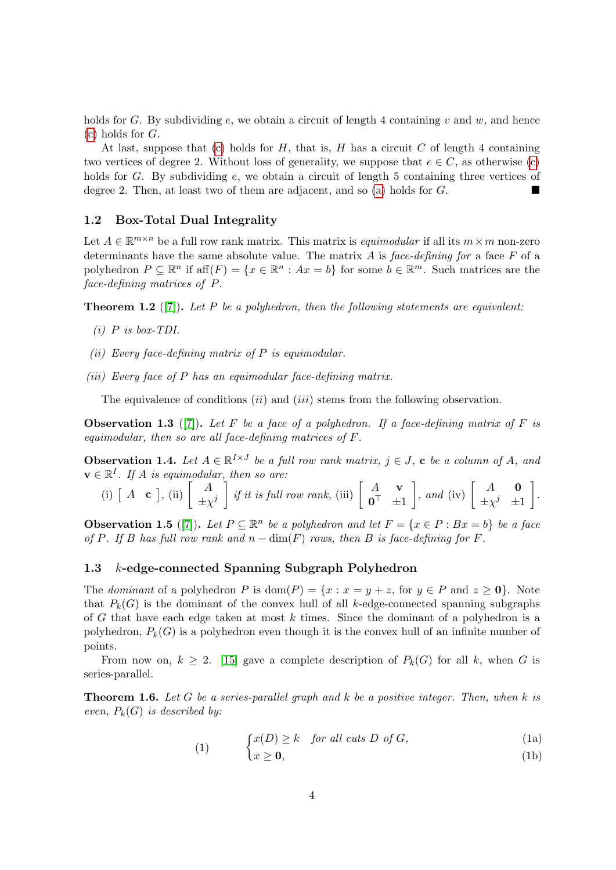holds for G. By subdividing e, we obtain a circuit of length 4 containing v and w, and hence  $(c)$  holds for  $G$ .

At last, suppose that [\(c\)](#page-2-2) holds for  $H$ , that is,  $H$  has a circuit  $C$  of length 4 containing two vertices of degree 2. Without loss of generality, we suppose that  $e \in C$ , as otherwise [\(c\)](#page-2-2) holds for G. By subdividing  $e$ , we obtain a circuit of length 5 containing three vertices of degree 2. Then, at least two of them are adjacent, and so [\(a\)](#page-2-0) holds for G.

### 1.2 Box-Total Dual Integrality

Let  $A \in \mathbb{R}^{m \times n}$  be a full row rank matrix. This matrix is *equimodular* if all its  $m \times m$  non-zero determinants have the same absolute value. The matrix  $A$  is face-defining for a face  $F$  of a polyhedron  $P \subseteq \mathbb{R}^n$  if  $\text{aff}(F) = \{x \in \mathbb{R}^n : Ax = b\}$  for some  $b \in \mathbb{R}^m$ . Such matrices are the face-defining matrices of P.

<span id="page-3-1"></span>**Theorem 1.2** ([\[7\]](#page-9-8)). Let P be a polyhedron, then the following statements are equivalent:

- $(i)$  P is box-TDI.
- <span id="page-3-0"></span>(ii) Every face-defining matrix of  $P$  is equimodular.
- (iii) Every face of  $P$  has an equimodular face-defining matrix.

The equivalence of conditions  $(ii)$  and  $(iii)$  stems from the following observation.

<span id="page-3-4"></span>**Observation 1.3** ([\[7\]](#page-9-8)). Let F be a face of a polyhedron. If a face-defining matrix of F is equimodular, then so are all face-defining matrices of F.

<span id="page-3-2"></span>**Observation 1.4.** Let  $A \in \mathbb{R}^{I \times J}$  be a full row rank matrix,  $j \in J$ , c be a column of A, and  $\mathbf{v} \in \mathbb{R}^I$ . If A is equimodular, then so are:

(i) 
$$
\begin{bmatrix} A & \mathbf{c} \end{bmatrix}
$$
, (ii)  $\begin{bmatrix} A \\ \pm \chi^j \end{bmatrix}$  if it is full row rank, (iii)  $\begin{bmatrix} A & \mathbf{v} \\ \mathbf{0}^\top & \pm 1 \end{bmatrix}$ , and (iv)  $\begin{bmatrix} A & \mathbf{0} \\ \pm \chi^j & \pm 1 \end{bmatrix}$ .

<span id="page-3-3"></span>**Observation 1.5** ([\[7\]](#page-9-8)). Let  $P \subseteq \mathbb{R}^n$  be a polyhedron and let  $F = \{x \in P : Bx = b\}$  be a face of P. If B has full row rank and  $n - \dim(F)$  rows, then B is face-defining for F.

### 1.3 k-edge-connected Spanning Subgraph Polyhedron

(1)

The *dominant* of a polyhedron P is  $dom(P) = \{x : x = y + z, \text{ for } y \in P \text{ and } z \ge 0\}.$  Note that  $P_k(G)$  is the dominant of the convex hull of all k-edge-connected spanning subgraphs of G that have each edge taken at most  $k$  times. Since the dominant of a polyhedron is a polyhedron,  $P_k(G)$  is a polyhedron even though it is the convex hull of an infinite number of points.

From now on,  $k \geq 2$ . [\[15\]](#page-10-12) gave a complete description of  $P_k(G)$  for all k, when G is series-parallel.

**Theorem 1.6.** Let G be a series-parallel graph and  $k$  be a positive integer. Then, when  $k$  is even,  $P_k(G)$  is described by:

$$
\{x(D) \ge k \quad \text{for all cuts } D \text{ of } G,\tag{1a}
$$

$$
\{x \ge 0,\tag{1b}
$$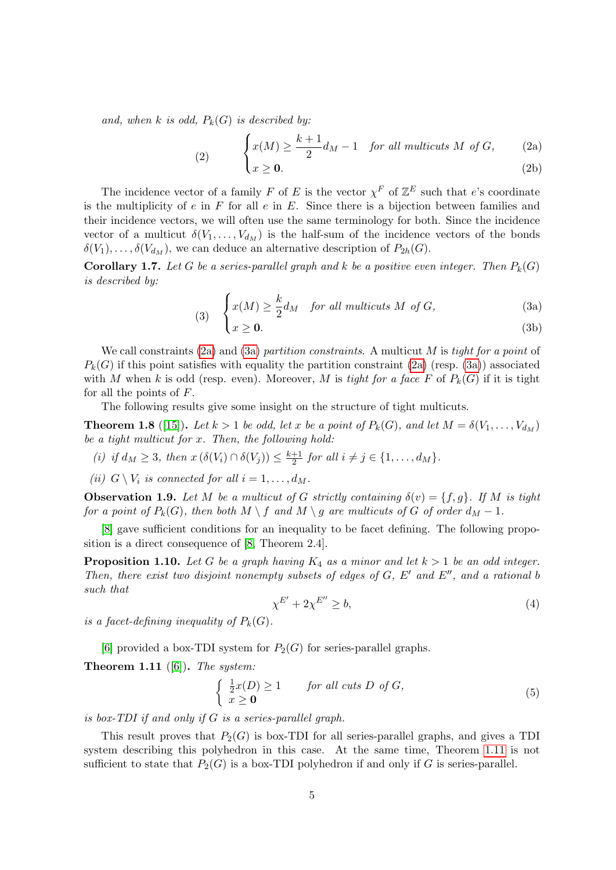and, when k is odd,  $P_k(G)$  is described by:

<span id="page-4-8"></span><span id="page-4-7"></span><span id="page-4-0"></span>(2) 
$$
\begin{cases} x(M) \geq \frac{k+1}{2} d_M - 1 & \text{for all multis cuts } M \text{ of } G, \\ x \geq \mathbf{0}. \end{cases}
$$
 (2a) (2b)

The incidence vector of a family F of E is the vector  $\chi^F$  of  $\mathbb{Z}^E$  such that e's coordinate is the multiplicity of  $e$  in  $F$  for all  $e$  in  $E$ . Since there is a bijection between families and their incidence vectors, we will often use the same terminology for both. Since the incidence vector of a multicut  $\delta(V_1,\ldots,V_{d_M})$  is the half-sum of the incidence vectors of the bonds  $\delta(V_1), \ldots, \delta(V_{d_M})$ , we can deduce an alternative description of  $P_{2h}(G)$ .

**Corollary 1.7.** Let G be a series-parallel graph and k be a positive even integer. Then  $P_k(G)$ is described by:

<span id="page-4-1"></span>(3) 
$$
\begin{cases} x(M) \ge \frac{k}{2} d_M & \text{for all multicuts } M \text{ of } G, \\ x \ge 0. \end{cases}
$$
 (3a) (3b)

We call constraints [\(2a\)](#page-4-0) and [\(3a\)](#page-4-1) partition constraints. A multicut  $M$  is tight for a point of  $P_k(G)$  if this point satisfies with equality the partition constraint [\(2a\)](#page-4-0) (resp. [\(3a\)](#page-4-1)) associated with M when k is odd (resp. even). Moreover, M is tight for a face F of  $P_k(G)$  if it is tight for all the points of  $F$ .

The following results give some insight on the structure of tight multicuts.

<span id="page-4-6"></span>**Theorem 1.8** ([\[15\]](#page-10-12)). Let  $k > 1$  be odd, let x be a point of  $P_k(G)$ , and let  $M = \delta(V_1, \ldots, V_{d_M})$ be a tight multicut for  $x$ . Then, the following hold:

<span id="page-4-10"></span>(i) if  $d_M \geq 3$ , then  $x(\delta(V_i) \cap \delta(V_j)) \leq \frac{k+1}{2}$  $\frac{+1}{2}$  for all  $i \neq j \in \{1, \ldots, d_M\}.$ 

<span id="page-4-5"></span>(ii)  $G \setminus V_i$  is connected for all  $i = 1, \ldots, d_M$ .

<span id="page-4-9"></span>**Observation 1.9.** Let M be a multicut of G strictly containing  $\delta(v) = \{f, g\}$ . If M is tight for a point of  $P_k(G)$ , then both  $M \setminus f$  and  $M \setminus g$  are multicuts of G of order  $d_M - 1$ .

[\[8\]](#page-9-4) gave sufficient conditions for an inequality to be facet defining. The following proposition is a direct consequence of [\[8,](#page-9-4) Theorem 2.4].

<span id="page-4-3"></span>**Proposition 1.10.** Let G be a graph having  $K_4$  as a minor and let  $k > 1$  be an odd integer. Then, there exist two disjoint nonempty subsets of edges of  $G, E'$  and  $E''$ , and a rational b such that

$$
\chi^{E'} + 2\chi^{E''} \ge b,\tag{4}
$$

is a facet-defining inequality of  $P_k(G)$ .

[\[6\]](#page-9-2) provided a box-TDI system for  $P_2(G)$  for series-parallel graphs.

<span id="page-4-2"></span>**Theorem 1.11** ([\[6\]](#page-9-2)). The system:

<span id="page-4-4"></span>
$$
\begin{cases} \frac{1}{2}x(D) \ge 1 & \text{for all cuts } D \text{ of } G, \\ x \ge 0 & \end{cases}
$$
 (5)

is box-TDI if and only if G is a series-parallel graph.

This result proves that  $P_2(G)$  is box-TDI for all series-parallel graphs, and gives a TDI system describing this polyhedron in this case. At the same time, Theorem [1.11](#page-4-2) is not sufficient to state that  $P_2(G)$  is a box-TDI polyhedron if and only if G is series-parallel.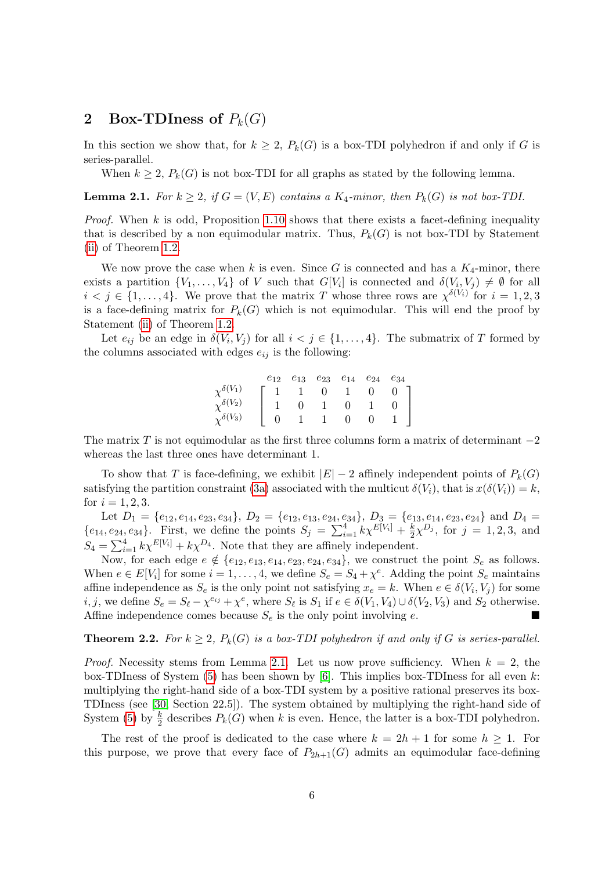# 2 Box-TDIness of  $P_k(G)$

In this section we show that, for  $k \geq 2$ ,  $P_k(G)$  is a box-TDI polyhedron if and only if G is series-parallel.

When  $k \geq 2$ ,  $P_k(G)$  is not box-TDI for all graphs as stated by the following lemma.

<span id="page-5-0"></span>**Lemma 2.1.** For  $k \geq 2$ , if  $G = (V, E)$  contains a  $K_4$ -minor, then  $P_k(G)$  is not box-TDI.

*Proof.* When  $k$  is odd, Proposition [1.10](#page-4-3) shows that there exists a facet-defining inequality that is described by a non equimodular matrix. Thus,  $P_k(G)$  is not box-TDI by Statement [\(ii\)](#page-3-0) of Theorem [1.2.](#page-3-1)

We now prove the case when k is even. Since G is connected and has a  $K_4$ -minor, there exists a partition  $\{V_1,\ldots,V_4\}$  of V such that  $G[V_i]$  is connected and  $\delta(V_i,V_j) \neq \emptyset$  for all  $i < j \in \{1, \ldots, 4\}$ . We prove that the matrix T whose three rows are  $\chi^{\delta(V_i)}$  for  $i = 1, 2, 3$ is a face-defining matrix for  $P_k(G)$  which is not equimodular. This will end the proof by Statement [\(ii\)](#page-3-0) of Theorem [1.2.](#page-3-1)

Let  $e_{ij}$  be an edge in  $\delta(V_i, V_j)$  for all  $i < j \in \{1, \ldots, 4\}$ . The submatrix of T formed by the columns associated with edges  $e_{ij}$  is the following:

|                        | $e_{12}$ | $e_{13}$ | $e_{23}$       | $e_{14}$ $e_{24}$ | $e_{34}$ |
|------------------------|----------|----------|----------------|-------------------|----------|
| $\gamma^{\delta(V_1)}$ |          |          | $\overline{0}$ | $\Box$            |          |
| $\chi^{\delta(V_2)}$   |          |          |                |                   |          |
| $\gamma^{\delta(V_3)}$ |          |          |                |                   |          |

The matrix T is not equimodular as the first three columns form a matrix of determinant  $-2$ whereas the last three ones have determinant 1.

To show that T is face-defining, we exhibit  $|E| - 2$  affinely independent points of  $P_k(G)$ satisfying the partition constraint [\(3a\)](#page-4-1) associated with the multicut  $\delta(V_i)$ , that is  $x(\delta(V_i)) = k$ , for  $i = 1, 2, 3$ .

Let  $D_1 = \{e_{12}, e_{14}, e_{23}, e_{34}\}, D_2 = \{e_{12}, e_{13}, e_{24}, e_{34}\}, D_3 = \{e_{13}, e_{14}, e_{23}, e_{24}\}$  and  $D_4 =$  ${e_{14}, e_{24}, e_{34}}$ . First, we define the points  $S_j = \sum_{i=1}^{4} k \chi^{E[V_i]} + \frac{k}{2}$  $\frac{k}{2}\chi^{D_j}$ , for  $j=1,2,3$ , and  $S_4 = \sum_{i=1}^4 k \chi^{E[V_i]} + k \chi^{D_4}$ . Note that they are affinely independent.

Now, for each edge  $e \notin \{e_{12}, e_{13}, e_{14}, e_{23}, e_{24}, e_{34}\}$ , we construct the point  $S_e$  as follows. When  $e \in E[V_i]$  for some  $i = 1, ..., 4$ , we define  $S_e = S_4 + \chi^e$ . Adding the point  $S_e$  maintains affine independence as  $S_e$  is the only point not satisfying  $x_e = k$ . When  $e \in \delta(V_i, V_j)$  for some *i*, *j*, we define  $S_e = S_\ell - \chi^{e_{ij}} + \chi^e$ , where  $S_\ell$  is  $S_1$  if  $e \in \delta(V_1, V_4) \cup \delta(V_2, V_3)$  and  $S_2$  otherwise. Affine independence comes because  $S_e$  is the only point involving e.

### <span id="page-5-1"></span>**Theorem 2.2.** For  $k \geq 2$ ,  $P_k(G)$  is a box-TDI polyhedron if and only if G is series-parallel.

*Proof.* Necessity stems from Lemma [2.1.](#page-5-0) Let us now prove sufficiency. When  $k = 2$ , the box-TDIness of System  $(5)$  has been shown by  $[6]$ . This implies box-TDIness for all even k: multiplying the right-hand side of a box-TDI system by a positive rational preserves its box-TDIness (see [\[30,](#page-11-0) Section 22.5]). The system obtained by multiplying the right-hand side of System [\(5\)](#page-4-4) by  $\frac{k}{2}$  describes  $P_k(G)$  when k is even. Hence, the latter is a box-TDI polyhedron.

The rest of the proof is dedicated to the case where  $k = 2h + 1$  for some  $h \ge 1$ . For this purpose, we prove that every face of  $P_{2h+1}(G)$  admits an equimodular face-defining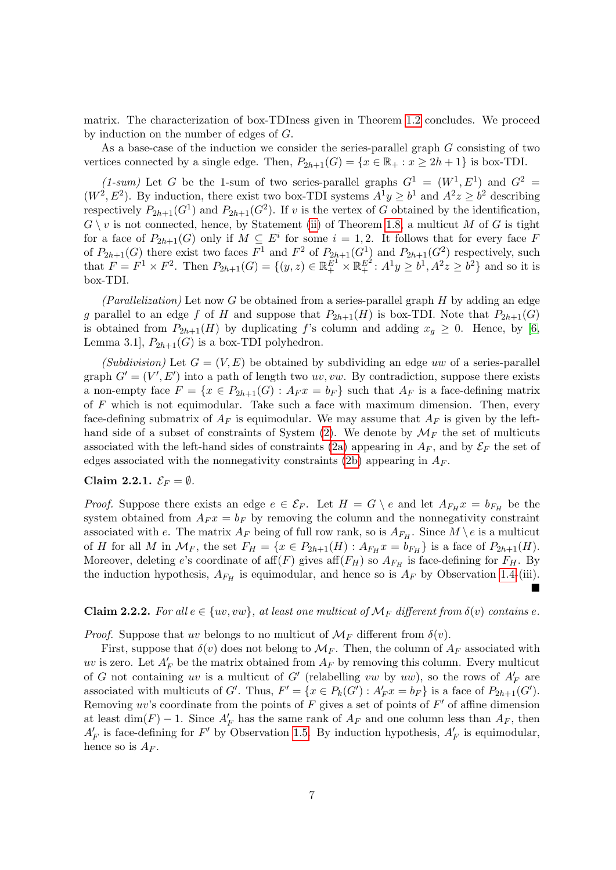matrix. The characterization of box-TDIness given in Theorem [1.2](#page-3-1) concludes. We proceed by induction on the number of edges of G.

As a base-case of the induction we consider the series-parallel graph G consisting of two vertices connected by a single edge. Then,  $P_{2h+1}(G) = \{x \in \mathbb{R}_+ : x \ge 2h + 1\}$  is box-TDI.

(1-sum) Let G be the 1-sum of two series-parallel graphs  $G^1 = (W^1, E^1)$  and  $G^2 =$  $(W^2, E^2)$ . By induction, there exist two box-TDI systems  $A^1 y \geq b^1$  and  $A^2 z \geq b^2$  describing respectively  $P_{2h+1}(G^1)$  and  $P_{2h+1}(G^2)$ . If v is the vertex of G obtained by the identification,  $G \setminus v$  is not connected, hence, by Statement [\(ii\)](#page-4-5) of Theorem [1.8,](#page-4-6) a multicut M of G is tight for a face of  $P_{2h+1}(G)$  only if  $M \subseteq E^i$  for some  $i = 1, 2$ . It follows that for every face F of  $P_{2h+1}(G)$  there exist two faces  $F^1$  and  $F^2$  of  $P_{2h+1}(G^1)$  and  $P_{2h+1}(G^2)$  respectively, such that  $F = F^1 \times F^2$ . Then  $P_{2h+1}(G) = \{(y, z) \in \mathbb{R}^{E^1} _+ \times \mathbb{R}^{E^2} _+ : A^1y \ge b^1, A^2z \ge b^2\}$  and so it is box-TDI.

(Parallelization) Let now G be obtained from a series-parallel graph  $H$  by adding an edge g parallel to an edge f of H and suppose that  $P_{2h+1}(H)$  is box-TDI. Note that  $P_{2h+1}(G)$ is obtained from  $P_{2h+1}(H)$  by duplicating f's column and adding  $x_g \geq 0$ . Hence, by [\[6,](#page-9-2) Lemma 3.1,  $P_{2h+1}(G)$  is a box-TDI polyhedron.

(Subdivision) Let  $G = (V, E)$  be obtained by subdividing an edge uw of a series-parallel graph  $G' = (V', E')$  into a path of length two uv, vw. By contradiction, suppose there exists a non-empty face  $F = \{x \in P_{2h+1}(G) : A_F x = b_F\}$  such that  $A_F$  is a face-defining matrix of  $F$  which is not equimodular. Take such a face with maximum dimension. Then, every face-defining submatrix of  $A_F$  is equimodular. We may assume that  $A_F$  is given by the left-hand side of a subset of constraints of System [\(2\)](#page-4-7). We denote by  $\mathcal{M}_F$  the set of multicuts associated with the left-hand sides of constraints [\(2a\)](#page-4-0) appearing in  $A_F$ , and by  $\mathcal{E}_F$  the set of edges associated with the nonnegativity constraints [\(2b\)](#page-4-8) appearing in  $A_F$ .

### Claim 2.2.1.  $\mathcal{E}_F = \emptyset$ .

*Proof.* Suppose there exists an edge  $e \in \mathcal{E}_F$ . Let  $H = G \setminus e$  and let  $A_{F_H} x = b_{F_H}$  be the system obtained from  $A_F x = b_F$  by removing the column and the nonnegativity constraint associated with e. The matrix  $A_F$  being of full row rank, so is  $A_{F_H}$ . Since  $M \setminus e$  is a multicut of H for all M in  $\mathcal{M}_F$ , the set  $F_H = \{x \in P_{2h+1}(H) : A_{F_H} x = b_{F_H}\}\$ is a face of  $P_{2h+1}(H)$ . Moreover, deleting e's coordinate of aff $(F)$  gives aff $(F_H)$  so  $A_{F_H}$  is face-defining for  $F_H$ . By the induction hypothesis,  $A_{F_H}$  is equimodular, and hence so is  $A_F$  by Observation [1.4-](#page-3-2)(iii). È

### <span id="page-6-0"></span>Claim 2.2.2. For all  $e \in \{uv, vw\}$ , at least one multicut of  $\mathcal{M}_F$  different from  $\delta(v)$  contains e.

*Proof.* Suppose that uv belongs to no multicut of  $\mathcal{M}_F$  different from  $\delta(v)$ .

First, suppose that  $\delta(v)$  does not belong to  $\mathcal{M}_F$ . Then, the column of  $A_F$  associated with uv is zero. Let  $A'_F$  be the matrix obtained from  $A_F$  by removing this column. Every multicut of G not containing uv is a multicut of G' (relabelling vw by uw), so the rows of  $A'_F$  are associated with multicuts of G'. Thus,  $F' = \{x \in P_k(G') : A'_F x = b_F\}$  is a face of  $P_{2h+1}(G')$ . Removing uv's coordinate from the points of  $F$  gives a set of points of  $F'$  of affine dimension at least  $\dim(F) - 1$ . Since  $A'_F$  has the same rank of  $A_F$  and one column less than  $A_F$ , then  $A'_F$  is face-defining for F' by Observation [1.5.](#page-3-3) By induction hypothesis,  $A'_F$  is equimodular, hence so is  $A_F$ .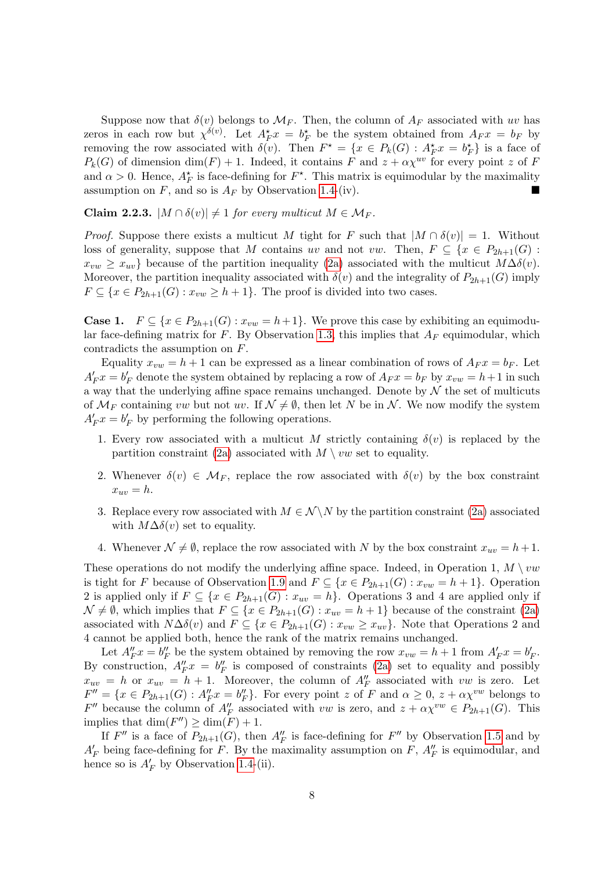Suppose now that  $\delta(v)$  belongs to  $\mathcal{M}_F$ . Then, the column of  $A_F$  associated with uv has zeros in each row but  $\chi^{\delta(v)}$ . Let  $A_F^*x = b_F^*$  be the system obtained from  $A_F x = b_F$  by removing the row associated with  $\delta(v)$ . Then  $F^* = \{x \in P_k(G) : A_F^* x = b_F^*\}$  is a face of  $P_k(G)$  of dimension dim(F) + 1. Indeed, it contains F and  $z + \alpha \chi^{uv}$  for every point z of F and  $\alpha > 0$ . Hence,  $A_F^*$  is face-defining for  $F^*$ . This matrix is equimodular by the maximality assumption on  $F$ , and so is  $A_F$  by Observation [1.4-](#page-3-2)(iv).

<span id="page-7-0"></span>Claim 2.2.3.  $|M \cap \delta(v)| \neq 1$  for every multicut  $M \in \mathcal{M}_F$ .

*Proof.* Suppose there exists a multicut M tight for F such that  $|M \cap \delta(v)| = 1$ . Without loss of generality, suppose that M contains uv and not vw. Then,  $F \subseteq \{x \in P_{2h+1}(G) :$  $x_{vw} \geq x_{uv}$  because of the partition inequality [\(2a\)](#page-4-0) associated with the multicut  $M\Delta\delta(v)$ . Moreover, the partition inequality associated with  $\delta(v)$  and the integrality of  $P_{2h+1}(G)$  imply  $F \subseteq \{x \in P_{2h+1}(G) : x_{vw} \ge h+1\}.$  The proof is divided into two cases.

**Case 1.**  $F \subseteq \{x \in P_{2h+1}(G) : x_{vw} = h+1\}$ . We prove this case by exhibiting an equimodu-lar face-defining matrix for F. By Observation [1.3,](#page-3-4) this implies that  $A_F$  equimodular, which contradicts the assumption on F.

Equality  $x_{vw} = h + 1$  can be expressed as a linear combination of rows of  $A_F x = b_F$ . Let  $A'_F x = b'_F$  denote the system obtained by replacing a row of  $A_F x = b_F$  by  $x_{vw} = h+1$  in such a way that the underlying affine space remains unchanged. Denote by  $\mathcal N$  the set of multicuts of  $\mathcal{M}_F$  containing vw but not uv. If  $\mathcal{N} \neq \emptyset$ , then let N be in N. We now modify the system  $A'_F x = b'_F$  by performing the following operations.

- 1. Every row associated with a multicut M strictly containing  $\delta(v)$  is replaced by the partition constraint [\(2a\)](#page-4-0) associated with  $M \setminus vw$  set to equality.
- 2. Whenever  $\delta(v) \in M_F$ , replace the row associated with  $\delta(v)$  by the box constraint  $x_{uv} = h.$
- 3. Replace every row associated with  $M \in \mathcal{N} \backslash N$  by the partition constraint [\(2a\)](#page-4-0) associated with  $M\Delta\delta(v)$  set to equality.
- 4. Whenever  $\mathcal{N} \neq \emptyset$ , replace the row associated with N by the box constraint  $x_{uv} = h + 1$ .

These operations do not modify the underlying affine space. Indeed, in Operation 1,  $M \setminus vw$ is tight for F because of Observation [1.9](#page-4-9) and  $F \subseteq \{x \in P_{2h+1}(G) : x_{vw} = h + 1\}$ . Operation 2 is applied only if  $F \subseteq \{x \in P_{2h+1}(G) : x_{uv} = h\}$ . Operations 3 and 4 are applied only if  $\mathcal{N} \neq \emptyset$ , which implies that  $F \subseteq \{x \in P_{2h+1}(G) : x_{uv} = h + 1\}$  because of the constraint [\(2a\)](#page-4-0) associated with  $N\Delta\delta(v)$  and  $F \subseteq \{x \in P_{2h+1}(G) : x_{vw} \geq x_{uv}\}.$  Note that Operations 2 and 4 cannot be applied both, hence the rank of the matrix remains unchanged.

Let  $A''_F x = b''_F$  be the system obtained by removing the row  $x_{vw} = h + 1$  from  $A'_F x = b'_F$ . By construction,  $A''_F x = b''_F$  is composed of constraints [\(2a\)](#page-4-0) set to equality and possibly  $x_{uv} = h$  or  $x_{uv} = h + 1$ . Moreover, the column of  $A''_F$  associated with vw is zero. Let  $F'' = \{x \in P_{2h+1}(G) : A''_F x = b''_F\}.$  For every point z of F and  $\alpha \geq 0$ ,  $z + \alpha \chi^{vw}$  belongs to  $F''$  because the column of  $A''_F$  associated with vw is zero, and  $z + \alpha \chi^{vw} \in P_{2h+1}(G)$ . This implies that  $\dim(F'') \geq \dim(F) + 1$ .

If  $F''$  is a face of  $P_{2h+1}(G)$ , then  $A''_F$  is face-defining for  $F''$  by Observation [1.5](#page-3-3) and by  $A'_F$  being face-defining for F. By the maximality assumption on F,  $A''_F$  is equimodular, and hence so is  $A'_F$  by Observation [1.4-](#page-3-2)(ii).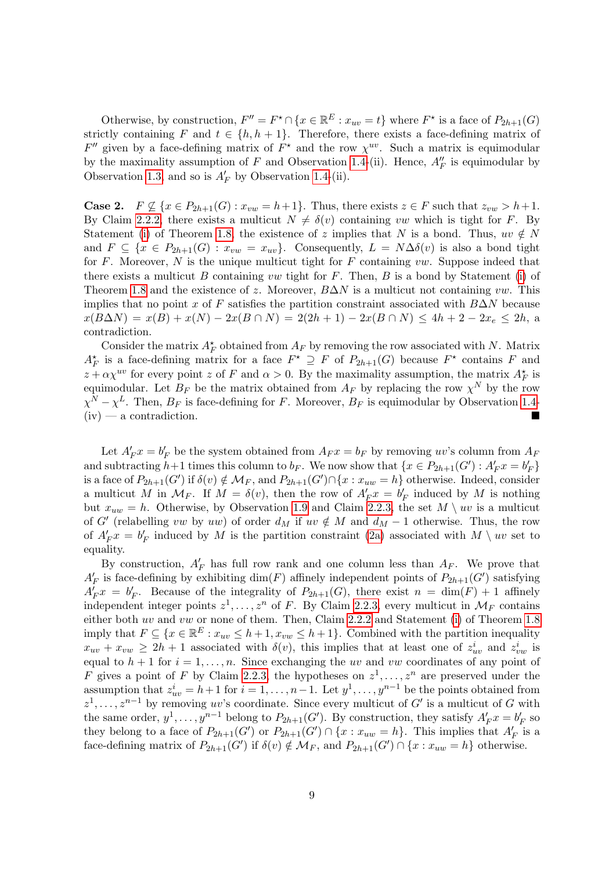Otherwise, by construction,  $F'' = F^* \cap \{x \in \mathbb{R}^E : x_{uv} = t\}$  where  $F^*$  is a face of  $P_{2h+1}(G)$ strictly containing F and  $t \in \{h, h+1\}$ . Therefore, there exists a face-defining matrix of  $F''$  given by a face-defining matrix of  $F^*$  and the row  $\chi^{uv}$ . Such a matrix is equimodular by the maximality assumption of F and Observation [1.4-](#page-3-2)(ii). Hence,  $A''_F$  is equimodular by Observation [1.3,](#page-3-4) and so is  $A'_F$  by Observation [1.4-](#page-3-2)(ii).

**Case 2.**  $F \nsubseteq \{x \in P_{2h+1}(G) : x_{vw} = h+1\}$ . Thus, there exists  $z \in F$  such that  $z_{vw} > h+1$ . By Claim [2.2.2,](#page-6-0) there exists a multicut  $N \neq \delta(v)$  containing vw which is tight for F. By Statement [\(i\)](#page-4-10) of Theorem [1.8,](#page-4-6) the existence of z implies that N is a bond. Thus,  $uv \notin N$ and  $F \subseteq \{x \in P_{2h+1}(G) : x_{vw} = x_{uv}\}.$  Consequently,  $L = N\Delta\delta(v)$  is also a bond tight for  $F$ . Moreover,  $N$  is the unique multicut tight for  $F$  containing  $vw$ . Suppose indeed that there exists a multicut  $B$  containing vw tight for  $F$ . Then,  $B$  is a bond by Statement [\(i\)](#page-4-10) of Theorem [1.8](#page-4-6) and the existence of z. Moreover,  $B\Delta N$  is a multicut not containing vw. This implies that no point x of F satisfies the partition constraint associated with  $B\Delta N$  because  $x(B\Delta N) = x(B) + x(N) - 2x(B \cap N) = 2(2h + 1) - 2x(B \cap N) \le 4h + 2 - 2x_e \le 2h$ , a contradiction.

Consider the matrix  $A_F^*$  obtained from  $A_F$  by removing the row associated with N. Matrix  $A_F^*$  is a face-defining matrix for a face  $F^* \supseteq F$  of  $P_{2h+1}(G)$  because  $F^*$  contains F and  $z + \alpha \chi^{uv}$  for every point z of F and  $\alpha > 0$ . By the maximality assumption, the matrix  $A_F^*$  is equimodular. Let  $B_F$  be the matrix obtained from  $A_F$  by replacing the row  $\chi^N$  by the row  $\chi^N - \chi^L$ . Then,  $B_F$  is face-defining for F. Moreover,  $B_F$  is equimodular by Observation [1.4-](#page-3-2)  $(iv)$  — a contradiction.

Let  $A'_F x = b'_F$  be the system obtained from  $A_F x = b_F$  by removing uv's column from  $A_F$ and subtracting  $h+1$  times this column to  $b_F$ . We now show that  $\{x \in P_{2h+1}(G'): A'_F x = b'_F\}$ is a face of  $P_{2h+1}(G')$  if  $\delta(v) \notin \mathcal{M}_F$ , and  $P_{2h+1}(G') \cap \{x : x_{uw} = h\}$  otherwise. Indeed, consider a multicut M in  $\mathcal{M}_F$ . If  $M = \delta(v)$ , then the row of  $A'_F x = b'_F$  induced by M is nothing but  $x_{uw} = h$ . Otherwise, by Observation [1.9](#page-4-9) and Claim [2.2.3,](#page-7-0) the set  $M \setminus uv$  is a multicut of G' (relabelling vw by uw) of order  $d_M$  if uv  $\notin M$  and  $d_M - 1$  otherwise. Thus, the row of  $A'_F x = b'_F$  induced by M is the partition constraint [\(2a\)](#page-4-0) associated with  $M \setminus uv$  set to equality.

By construction,  $A'_F$  has full row rank and one column less than  $A_F$ . We prove that  $A'_F$  is face-defining by exhibiting  $dim(F)$  affinely independent points of  $P_{2h+1}(G')$  satisfying  $A'_F x = b'_F$ . Because of the integrality of  $P_{2h+1}(G)$ , there exist  $n = \dim(F) + 1$  affinely independent integer points  $z^1, \ldots, z^n$  of F. By Claim [2.2.3,](#page-7-0) every multicut in  $\mathcal{M}_F$  contains either both uv and vw or none of them. Then, Claim [2.2.2](#page-6-0) and Statement [\(i\)](#page-4-10) of Theorem [1.8](#page-4-6) imply that  $F \subseteq \{x \in \mathbb{R}^E : x_{uv} \leq h+1, x_{vw} \leq h+1\}$ . Combined with the partition inequality  $x_{uv} + x_{vw} \ge 2h + 1$  associated with  $\delta(v)$ , this implies that at least one of  $z_{uv}^i$  and  $z_{vw}^i$  is equal to  $h + 1$  for  $i = 1, \ldots, n$ . Since exchanging the uv and vw coordinates of any point of F gives a point of F by Claim [2.2.3,](#page-7-0) the hypotheses on  $z^1, \ldots, z^n$  are preserved under the assumption that  $z_{uv}^i = h+1$  for  $i = 1, ..., n-1$ . Let  $y^1, ..., y^{n-1}$  be the points obtained from  $z^1, \ldots, z^{n-1}$  by removing uv's coordinate. Since every multicut of G' is a multicut of G with the same order,  $y^1, \ldots, y^{n-1}$  belong to  $P_{2h+1}(G')$ . By construction, they satisfy  $A'_F x = b'_F$  so they belong to a face of  $P_{2h+1}(G')$  or  $P_{2h+1}(G') \cap \{x : x_{uw} = h\}$ . This implies that  $A'_F$  is a face-defining matrix of  $P_{2h+1}(G')$  if  $\delta(v) \notin \mathcal{M}_F$ , and  $P_{2h+1}(G') \cap \{x : x_{uw} = h\}$  otherwise.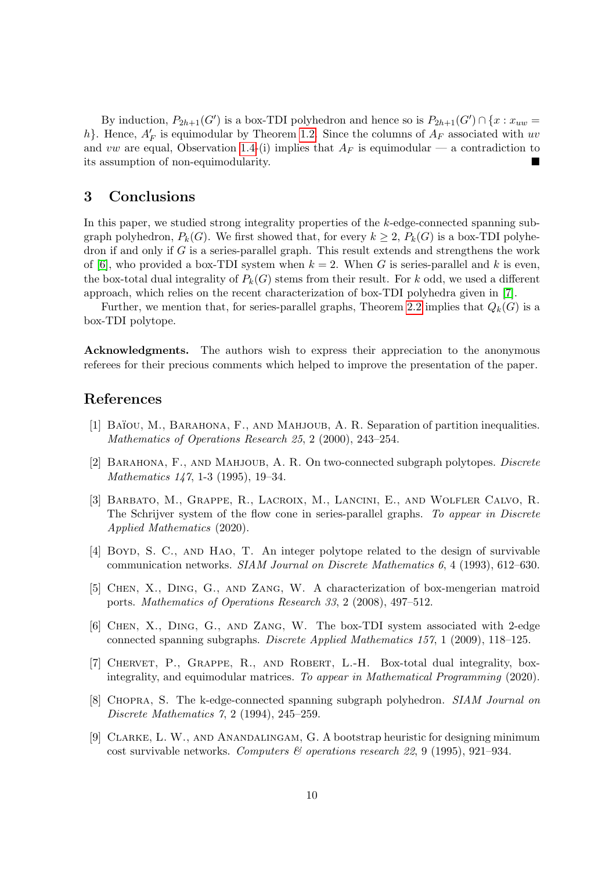By induction,  $P_{2h+1}(G')$  is a box-TDI polyhedron and hence so is  $P_{2h+1}(G') \cap \{x : x_{uw} =$ h}. Hence,  $A'_F$  is equimodular by Theorem [1.2.](#page-3-1) Since the columns of  $A_F$  associated with uv and vw are equal, Observation [1.4-](#page-3-2)(i) implies that  $A_F$  is equimodular — a contradiction to its assumption of non-equimodularity.

# 3 Conclusions

In this paper, we studied strong integrality properties of the k-edge-connected spanning subgraph polyhedron,  $P_k(G)$ . We first showed that, for every  $k \geq 2$ ,  $P_k(G)$  is a box-TDI polyhedron if and only if  $G$  is a series-parallel graph. This result extends and strengthens the work of [\[6\]](#page-9-2), who provided a box-TDI system when  $k = 2$ . When G is series-parallel and k is even, the box-total dual integrality of  $P_k(G)$  stems from their result. For k odd, we used a different approach, which relies on the recent characterization of box-TDI polyhedra given in [\[7\]](#page-9-8).

Further, we mention that, for series-parallel graphs, Theorem [2.2](#page-5-1) implies that  $Q_k(G)$  is a box-TDI polytope.

Acknowledgments. The authors wish to express their appreciation to the anonymous referees for their precious comments which helped to improve the presentation of the paper.

# References

- <span id="page-9-5"></span>[1] BAÏOU, M., BARAHONA, F., AND MAHJOUB, A. R. Separation of partition inequalities. Mathematics of Operations Research 25, 2 (2000), 243–254.
- <span id="page-9-6"></span>[2] Barahona, F., and Mahjoub, A. R. On two-connected subgraph polytopes. Discrete Mathematics 147, 1-3 (1995), 19–34.
- <span id="page-9-1"></span>[3] Barbato, M., Grappe, R., Lacroix, M., Lancini, E., and Wolfler Calvo, R. The Schrijver system of the flow cone in series-parallel graphs. To appear in Discrete Applied Mathematics (2020).
- <span id="page-9-7"></span>[4] Boyd, S. C., and Hao, T. An integer polytope related to the design of survivable communication networks. SIAM Journal on Discrete Mathematics 6, 4 (1993), 612–630.
- <span id="page-9-0"></span>[5] Chen, X., Ding, G., and Zang, W. A characterization of box-mengerian matroid ports. Mathematics of Operations Research 33, 2 (2008), 497–512.
- <span id="page-9-2"></span>[6] Chen, X., Ding, G., and Zang, W. The box-TDI system associated with 2-edge connected spanning subgraphs. Discrete Applied Mathematics 157, 1 (2009), 118–125.
- <span id="page-9-8"></span>[7] Chervet, P., Grappe, R., and Robert, L.-H. Box-total dual integrality, boxintegrality, and equimodular matrices. To appear in Mathematical Programming (2020).
- <span id="page-9-4"></span>[8] Chopra, S. The k-edge-connected spanning subgraph polyhedron. SIAM Journal on Discrete Mathematics 7, 2 (1994), 245–259.
- <span id="page-9-3"></span>[9] Clarke, L. W., and Anandalingam, G. A bootstrap heuristic for designing minimum cost survivable networks. Computers  $\mathcal C$  operations research 22, 9 (1995), 921–934.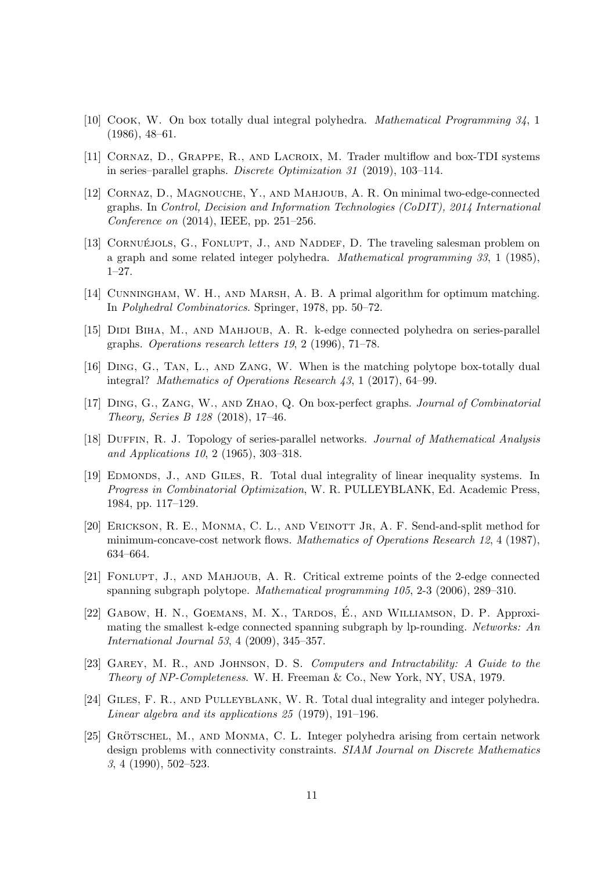- <span id="page-10-2"></span>[10] Cook, W. On box totally dual integral polyhedra. Mathematical Programming 34, 1 (1986), 48–61.
- <span id="page-10-6"></span>[11] Cornaz, D., Grappe, R., and Lacroix, M. Trader multiflow and box-TDI systems in series–parallel graphs. Discrete Optimization 31 (2019), 103–114.
- <span id="page-10-9"></span>[12] Cornaz, D., Magnouche, Y., and Mahjoub, A. R. On minimal two-edge-connected graphs. In Control, Decision and Information Technologies (CoDIT), 2014 International Conference on (2014), IEEE, pp. 251–256.
- <span id="page-10-11"></span>[13] CORNUÉJOLS, G., FONLUPT, J., AND NADDEF, D. The traveling salesman problem on a graph and some related integer polyhedra. Mathematical programming 33, 1 (1985), 1–27.
- <span id="page-10-4"></span>[14] Cunningham, W. H., and Marsh, A. B. A primal algorithm for optimum matching. In Polyhedral Combinatorics. Springer, 1978, pp. 50–72.
- <span id="page-10-12"></span>[15] DIDI BIHA, M., AND MAHJOUB, A. R. k-edge connected polyhedra on series-parallel graphs. Operations research letters 19, 2 (1996), 71–78.
- <span id="page-10-3"></span>[16] Ding, G., Tan, L., and Zang, W. When is the matching polytope box-totally dual integral? Mathematics of Operations Research 43, 1 (2017), 64–99.
- <span id="page-10-5"></span>[17] Ding, G., Zang, W., and Zhao, Q. On box-perfect graphs. Journal of Combinatorial Theory, Series B 128 (2018), 17–46.
- <span id="page-10-15"></span>[18] DUFFIN, R. J. Topology of series-parallel networks. Journal of Mathematical Analysis and Applications 10, 2 (1965), 303–318.
- <span id="page-10-1"></span>[19] EDMONDS, J., AND GILES, R. Total dual integrality of linear inequality systems. In Progress in Combinatorial Optimization, W. R. PULLEYBLANK, Ed. Academic Press, 1984, pp. 117–129.
- <span id="page-10-7"></span>[20] Erickson, R. E., Monma, C. L., and Veinott Jr, A. F. Send-and-split method for minimum-concave-cost network flows. Mathematics of Operations Research 12, 4 (1987), 634–664.
- <span id="page-10-14"></span>[21] Fonlupt, J., and Mahjoub, A. R. Critical extreme points of the 2-edge connected spanning subgraph polytope. Mathematical programming 105, 2-3 (2006), 289–310.
- <span id="page-10-10"></span>[22] GABOW, H. N., GOEMANS, M. X., TARDOS, É., AND WILLIAMSON, D. P. Approximating the smallest k-edge connected spanning subgraph by lp-rounding. Networks: An International Journal 53, 4 (2009), 345–357.
- <span id="page-10-8"></span>[23] Garey, M. R., and Johnson, D. S. Computers and Intractability: A Guide to the Theory of NP-Completeness. W. H. Freeman & Co., New York, NY, USA, 1979.
- <span id="page-10-0"></span>[24] Giles, F. R., and Pulleyblank, W. R. Total dual integrality and integer polyhedra. Linear algebra and its applications 25 (1979), 191–196.
- <span id="page-10-13"></span> $[25]$  GRÖTSCHEL, M., AND MONMA, C. L. Integer polyhedra arising from certain network design problems with connectivity constraints. SIAM Journal on Discrete Mathematics 3, 4 (1990), 502–523.